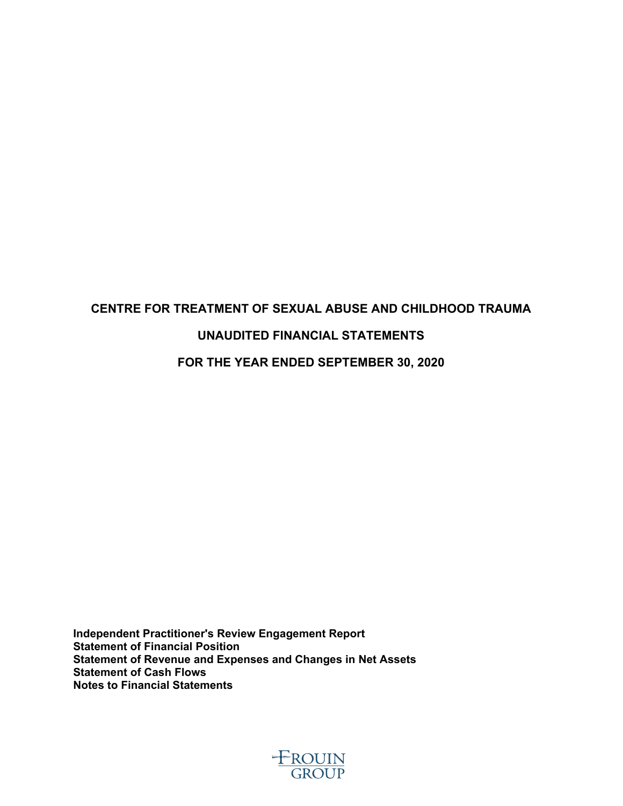# **CENTRE FOR TREATMENT OF SEXUAL ABUSE AND CHILDHOOD TRAUMA UNAUDITED FINANCIAL STATEMENTS FOR THE YEAR ENDED SEPTEMBER 30, 2020**

**Independent Practitioner's Review Engagement Report Statement of Financial Position Statement of Revenue and Expenses and Changes in Net Assets Statement of Cash Flows Notes to Financial Statements**

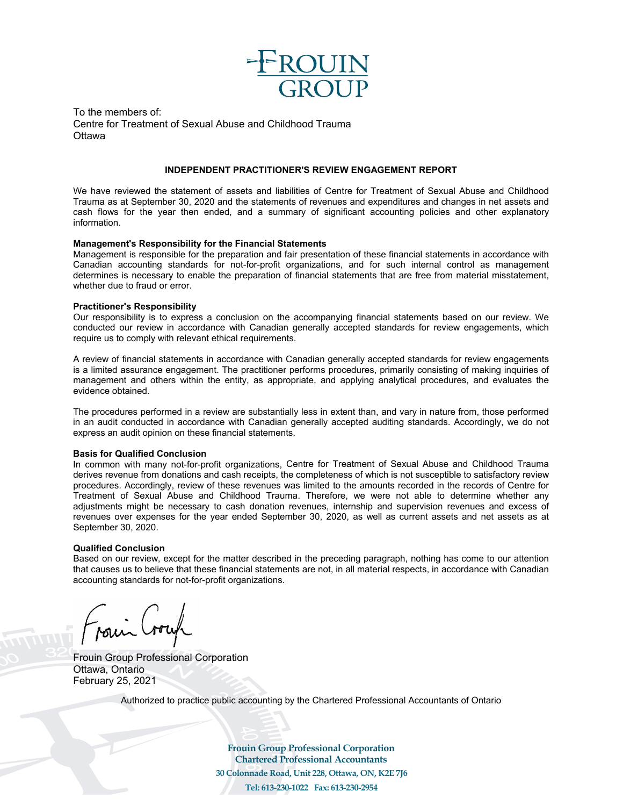

To the members of: Centre for Treatment of Sexual Abuse and Childhood Trauma **Ottawa** 

#### **INDEPENDENT PRACTITIONER'S REVIEW ENGAGEMENT REPORT**

We have reviewed the statement of assets and liabilities of Centre for Treatment of Sexual Abuse and Childhood Trauma as at September 30, 2020 and the statements of revenues and expenditures and changes in net assets and cash flows for the year then ended, and a summary of significant accounting policies and other explanatory information.

#### **Management's Responsibility for the Financial Statements**

Management is responsible for the preparation and fair presentation of these financial statements in accordance with Canadian accounting standards for not-for-profit organizations, and for such internal control as management determines is necessary to enable the preparation of financial statements that are free from material misstatement, whether due to fraud or error.

#### **Practitioner's Responsibility**

Our responsibility is to express a conclusion on the accompanying financial statements based on our review. We conducted our review in accordance with Canadian generally accepted standards for review engagements, which require us to comply with relevant ethical requirements.

A review of financial statements in accordance with Canadian generally accepted standards for review engagements is a limited assurance engagement. The practitioner performs procedures, primarily consisting of making inquiries of management and others within the entity, as appropriate, and applying analytical procedures, and evaluates the evidence obtained.

The procedures performed in a review are substantially less in extent than, and vary in nature from, those performed in an audit conducted in accordance with Canadian generally accepted auditing standards. Accordingly, we do not express an audit opinion on these financial statements.

#### **Basis for Qualified Conclusion**

In common with many not-for-profit organizations, Centre for Treatment of Sexual Abuse and Childhood Trauma derives revenue from donations and cash receipts, the completeness of which is not susceptible to satisfactory review procedures. Accordingly, review of these revenues was limited to the amounts recorded in the records of Centre for Treatment of Sexual Abuse and Childhood Trauma. Therefore, we were not able to determine whether any adjustments might be necessary to cash donation revenues, internship and supervision revenues and excess of revenues over expenses for the year ended September 30, 2020, as well as current assets and net assets as at September 30, 2020.

#### **Qualified Conclusion**

Based on our review, except for the matter described in the preceding paragraph, nothing has come to our attention that causes us to believe that these financial statements are not, in all material respects, in accordance with Canadian accounting standards for not-for-profit organizations.

Frouin Group Professional Corporation Ottawa, Ontario February 25, 2021

Authorized to practice public accounting by the Chartered Professional Accountants of Ontario

**Frouin Group Professional Corporation Chartered Professional Accountants 30 Colonnade Road, Unit 228, Ottawa, ON, K2E 7J6 Tel: 613-230-1022 Fax: 613-230-2954**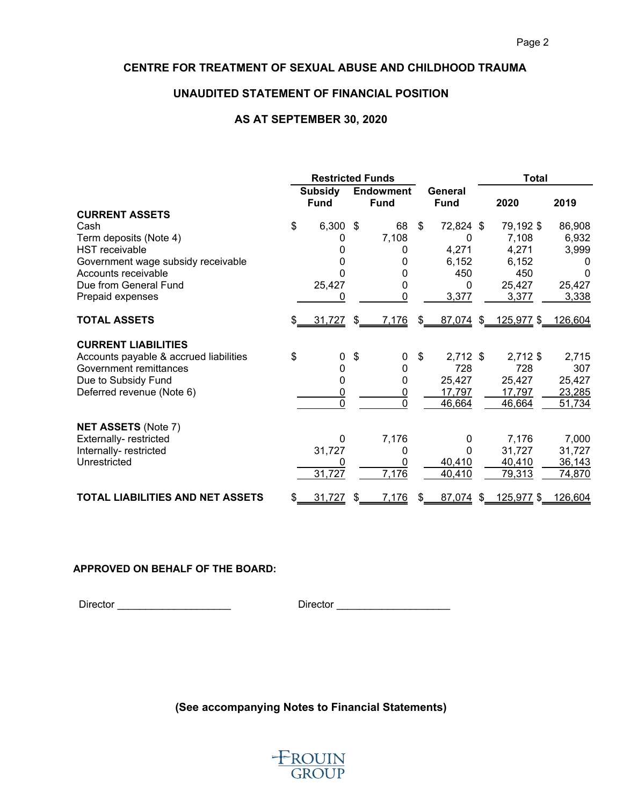# **UNAUDITED STATEMENT OF FINANCIAL POSITION**

#### **AS AT SEPTEMBER 30, 2020**

|                                         | <b>Restricted Funds</b> |                |                  |                |                |             |  | <b>Total</b>      |         |  |
|-----------------------------------------|-------------------------|----------------|------------------|----------------|----------------|-------------|--|-------------------|---------|--|
|                                         | <b>Subsidy</b>          |                | <b>Endowment</b> |                |                | General     |  |                   |         |  |
|                                         |                         | <b>Fund</b>    |                  | <b>Fund</b>    |                | <b>Fund</b> |  | 2020              | 2019    |  |
| <b>CURRENT ASSETS</b>                   |                         |                |                  |                |                |             |  |                   |         |  |
| Cash                                    | \$                      | 6,300          | -\$              | 68             | $\mathfrak{P}$ | 72,824 \$   |  | 79,192 \$         | 86,908  |  |
| Term deposits (Note 4)                  |                         | 0              |                  | 7,108          |                | 0           |  | 7,108             | 6,932   |  |
| <b>HST</b> receivable                   |                         |                |                  |                |                | 4,271       |  | 4,271             | 3,999   |  |
| Government wage subsidy receivable      |                         | 0              |                  | 0              |                | 6,152       |  | 6,152             | 0       |  |
| Accounts receivable                     |                         | O              |                  | 0              |                | 450         |  | 450               | 0       |  |
| Due from General Fund                   |                         | 25,427         |                  | 0              |                | 0           |  | 25,427            | 25,427  |  |
| Prepaid expenses                        |                         | 0              |                  | 0              |                | 3,377       |  | 3,377             | 3,338   |  |
| <b>TOTAL ASSETS</b>                     | \$                      | 31,727         | \$               | 7,176          | \$             | $87,074$ \$ |  | <u>125,977</u> \$ | 126,604 |  |
| <b>CURRENT LIABILITIES</b>              |                         |                |                  |                |                |             |  |                   |         |  |
| Accounts payable & accrued liabilities  | \$                      | 0              | \$               | 0              | \$             | $2,712$ \$  |  | 2,712 \$          | 2,715   |  |
| Government remittances                  |                         | 0              |                  | 0              |                | 728         |  | 728               | 307     |  |
| Due to Subsidy Fund                     |                         | 0              |                  | 0              |                | 25,427      |  | 25,427            | 25,427  |  |
| Deferred revenue (Note 6)               |                         | $\overline{0}$ |                  | $\overline{0}$ |                | 17,797      |  | 17,797            | 23,285  |  |
|                                         |                         | $\overline{0}$ |                  | $\mathbf{0}$   |                | 46,664      |  | 46,664            | 51,734  |  |
| <b>NET ASSETS (Note 7)</b>              |                         |                |                  |                |                |             |  |                   |         |  |
| Externally-restricted                   |                         | 0              |                  | 7,176          |                | 0           |  | 7,176             | 7,000   |  |
| Internally-restricted                   |                         | 31,727         |                  | 0              |                | 0           |  | 31,727            | 31,727  |  |
| Unrestricted                            |                         | 0              |                  |                |                | 40,410      |  | 40,410            | 36,143  |  |
|                                         |                         | 31,727         |                  | 7,176          |                | 40,410      |  | 79,313            | 74,870  |  |
| <b>TOTAL LIABILITIES AND NET ASSETS</b> | \$                      | 31,727         | \$.              | 7,176          | \$             | 87,074 \$   |  | 125,977 \$        | 126,604 |  |

#### **APPROVED ON BEHALF OF THE BOARD:**

Director \_\_\_\_\_\_\_\_\_\_\_\_\_\_\_\_\_\_\_\_ Director \_\_\_\_\_\_\_\_\_\_\_\_\_\_\_\_\_\_\_\_

**(See accompanying Notes to Financial Statements)**

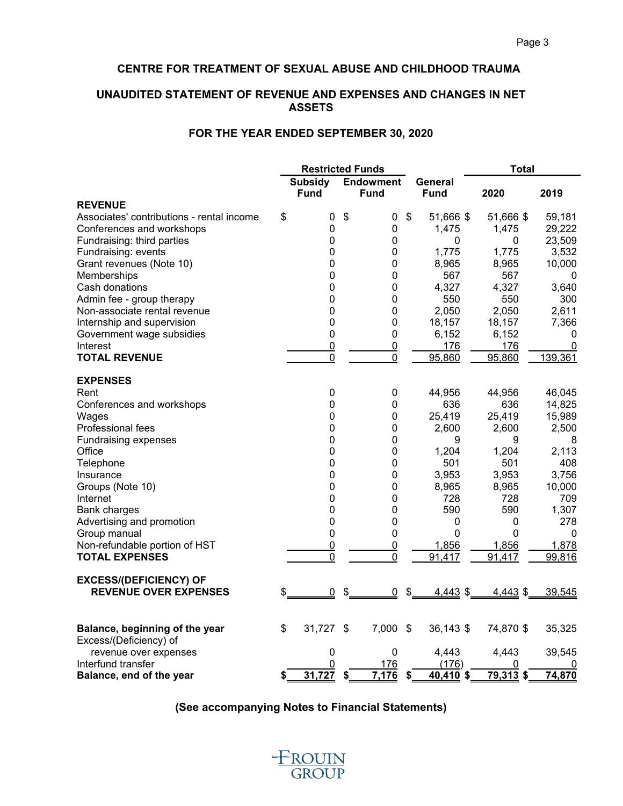# **UNAUDITED STATEMENT OF REVENUE AND EXPENSES AND CHANGES IN NET ASSETS**

# **FOR THE YEAR ENDED SEPTEMBER 30, 2020**

|                                                 | <b>Restricted Funds</b> |                               |    |                                 |                            |                        | <b>Total</b> |          |
|-------------------------------------------------|-------------------------|-------------------------------|----|---------------------------------|----------------------------|------------------------|--------------|----------|
|                                                 |                         | <b>Subsidy</b><br><b>Fund</b> |    | <b>Endowment</b><br><b>Fund</b> |                            | General<br><b>Fund</b> | 2020         | 2019     |
| <b>REVENUE</b>                                  |                         |                               |    |                                 |                            |                        |              |          |
| Associates' contributions - rental income       | \$                      | 0                             | \$ | 0                               | \$                         | 51,666 \$              | 51,666 \$    | 59,181   |
| Conferences and workshops                       |                         | 0                             |    | 0                               |                            | 1,475                  | 1,475        | 29,222   |
| Fundraising: third parties                      |                         | $\mathbf 0$                   |    | 0                               |                            | 0                      | 0            | 23,509   |
| Fundraising: events                             |                         | $\mathbf 0$                   |    | 0                               |                            | 1,775                  | 1,775        | 3,532    |
| Grant revenues (Note 10)                        |                         | $\mathbf 0$                   |    | 0                               |                            | 8,965                  | 8,965        | 10,000   |
| Memberships                                     |                         | $\overline{0}$                |    | 0                               |                            | 567                    | 567          | 0        |
| Cash donations                                  |                         | $\mathbf 0$                   |    | $\pmb{0}$                       |                            | 4,327                  | 4,327        | 3,640    |
| Admin fee - group therapy                       |                         | $\mathbf 0$                   |    | 0                               |                            | 550                    | 550          | 300      |
| Non-associate rental revenue                    |                         | $\overline{0}$                |    | 0                               |                            | 2,050                  | 2,050        | 2,611    |
| Internship and supervision                      |                         | $\mathbf 0$                   |    | $\pmb{0}$                       |                            | 18,157                 | 18,157       | 7,366    |
| Government wage subsidies                       |                         | $\mathbf 0$                   |    | 0                               |                            | 6,152                  | 6,152        | 0        |
| Interest                                        |                         | $\mathbf 0$                   |    | 0                               |                            | 176                    | 176          | $\Omega$ |
| <b>TOTAL REVENUE</b>                            |                         | $\mathbf 0$                   |    | $\mathbf 0$                     |                            | 95,860                 | 95,860       | 139,361  |
| <b>EXPENSES</b>                                 |                         |                               |    |                                 |                            |                        |              |          |
| Rent                                            |                         | $\mathbf 0$                   |    | 0                               |                            | 44,956                 | 44,956       | 46,045   |
| Conferences and workshops                       |                         | $\mathbf 0$                   |    | 0                               |                            | 636                    | 636          | 14,825   |
| Wages                                           |                         | $\mathbf 0$                   |    | 0                               |                            | 25,419                 | 25,419       | 15,989   |
| Professional fees                               |                         | $\mathbf 0$                   |    | 0                               |                            | 2,600                  | 2,600        | 2,500    |
| Fundraising expenses                            |                         | $\mathbf 0$                   |    | $\pmb{0}$                       |                            | 9                      | 9            | 8        |
| Office                                          |                         | $\mathbf 0$                   |    | $\mathbf 0$                     |                            | 1,204                  | 1,204        | 2,113    |
| Telephone                                       |                         | $\overline{0}$                |    | 0                               |                            | 501                    | 501          | 408      |
| Insurance                                       |                         | $\mathbf 0$                   |    | $\pmb{0}$                       |                            | 3,953                  | 3,953        | 3,756    |
| Groups (Note 10)                                |                         | $\mathbf 0$                   |    | 0                               |                            | 8,965                  | 8,965        | 10,000   |
| Internet                                        |                         | $\mathbf 0$                   |    | 0                               |                            | 728                    | 728          | 709      |
| <b>Bank charges</b>                             |                         | $\mathbf 0$                   |    | 0                               |                            | 590                    | 590          | 1,307    |
| Advertising and promotion                       |                         | $\mathbf 0$                   |    | 0                               |                            | 0                      | 0            | 278      |
| Group manual                                    |                         | 0                             |    | 0                               |                            | 0                      | $\mathbf{0}$ | 0        |
| Non-refundable portion of HST                   |                         | $\overline{0}$                |    | $\overline{0}$                  |                            | 1,856                  | 1,856        | 1,878    |
| <b>TOTAL EXPENSES</b>                           |                         | $\mathbf 0$                   |    | $\mathbf 0$                     |                            | 91,417                 | 91,417       | 99,816   |
| <b>EXCESS/(DEFICIENCY) OF</b>                   |                         |                               |    |                                 |                            |                        |              |          |
| <b>REVENUE OVER EXPENSES</b>                    | \$                      | $\overline{0}$                | \$ | $\overline{0}$                  | \$                         | 4,443 \$               | $4,443$ \$   | 39,545   |
| Balance, beginning of the year                  | \$                      | 31,727                        | \$ | 7,000                           | $\boldsymbol{\mathsf{\$}}$ | 36,143 \$              | 74,870 \$    | 35,325   |
| Excess/(Deficiency) of<br>revenue over expenses |                         | $\mathbf 0$                   |    | 0                               |                            | 4,443                  | 4,443        | 39,545   |
| Interfund transfer                              |                         | 0                             |    | 176                             |                            | (176)                  | 0            |          |
| Balance, end of the year                        | \$                      | 31,727                        | \$ | 7,176                           | \$                         | 40,410 \$              | 79,313 \$    | 74,870   |

**(See accompanying Notes to Financial Statements)**

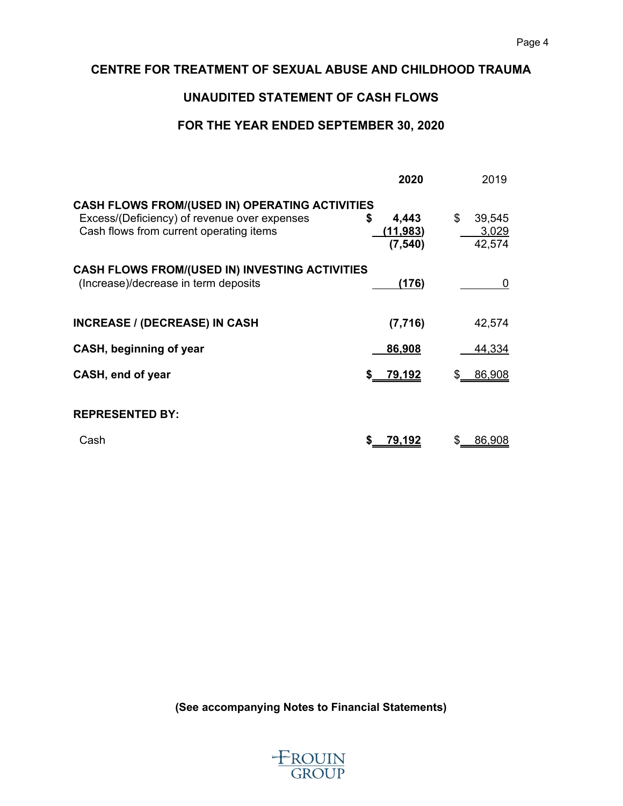# **UNAUDITED STATEMENT OF CASH FLOWS**

# **FOR THE YEAR ENDED SEPTEMBER 30, 2020**

| 2020                                      | 2019                                                                                                           |
|-------------------------------------------|----------------------------------------------------------------------------------------------------------------|
| 4,443<br>S<br><u>(11,983)</u><br>(7, 540) | \$<br>39,545<br>3,029<br>42,574                                                                                |
|                                           |                                                                                                                |
| (176)                                     | 0                                                                                                              |
|                                           |                                                                                                                |
| (7, 716)                                  | 42,574                                                                                                         |
| 86,908                                    | 44,334                                                                                                         |
| 79,192                                    | 86,908                                                                                                         |
|                                           |                                                                                                                |
|                                           |                                                                                                                |
| 79,192                                    | 86,908                                                                                                         |
|                                           | <b>CASH FLOWS FROM/(USED IN) OPERATING ACTIVITIES</b><br><b>CASH FLOWS FROM/(USED IN) INVESTING ACTIVITIES</b> |

**(See accompanying Notes to Financial Statements)**

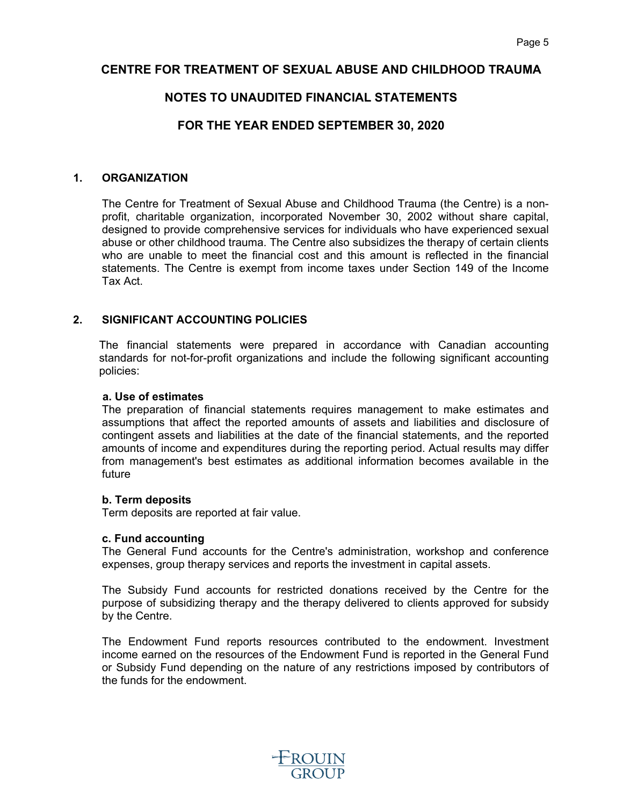# **NOTES TO UNAUDITED FINANCIAL STATEMENTS**

# **FOR THE YEAR ENDED SEPTEMBER 30, 2020**

#### **1. ORGANIZATION**

The Centre for Treatment of Sexual Abuse and Childhood Trauma (the Centre) is a nonprofit, charitable organization, incorporated November 30, 2002 without share capital, designed to provide comprehensive services for individuals who have experienced sexual abuse or other childhood trauma. The Centre also subsidizes the therapy of certain clients who are unable to meet the financial cost and this amount is reflected in the financial statements. The Centre is exempt from income taxes under Section 149 of the Income Tax Act.

# **2. SIGNIFICANT ACCOUNTING POLICIES**

The financial statements were prepared in accordance with Canadian accounting standards for not-for-profit organizations and include the following significant accounting policies:

#### **a. Use of estimates**

The preparation of financial statements requires management to make estimates and assumptions that affect the reported amounts of assets and liabilities and disclosure of contingent assets and liabilities at the date of the financial statements, and the reported amounts of income and expenditures during the reporting period. Actual results may differ from management's best estimates as additional information becomes available in the future

#### **b. Term deposits**

Term deposits are reported at fair value.

#### **c. Fund accounting**

The General Fund accounts for the Centre's administration, workshop and conference expenses, group therapy services and reports the investment in capital assets.

The Subsidy Fund accounts for restricted donations received by the Centre for the purpose of subsidizing therapy and the therapy delivered to clients approved for subsidy by the Centre.

The Endowment Fund reports resources contributed to the endowment. Investment income earned on the resources of the Endowment Fund is reported in the General Fund or Subsidy Fund depending on the nature of any restrictions imposed by contributors of the funds for the endowment.

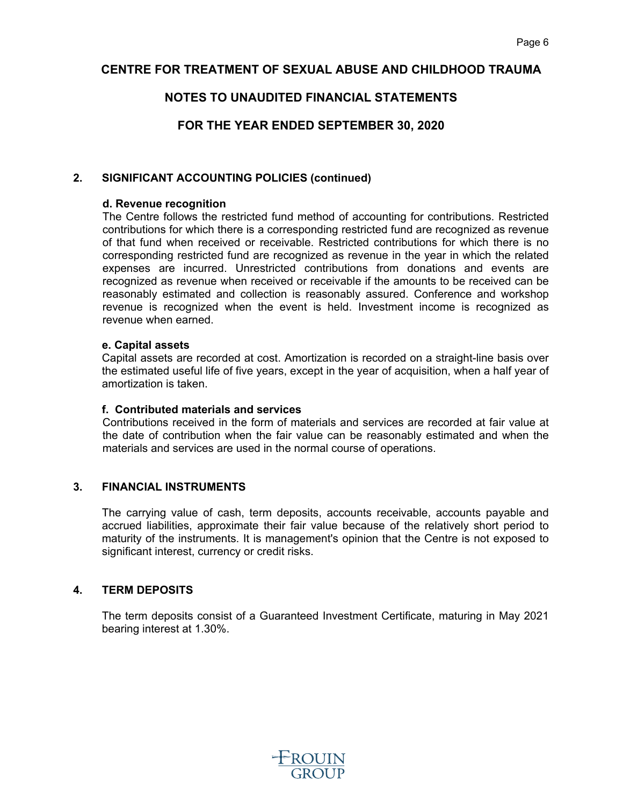# **NOTES TO UNAUDITED FINANCIAL STATEMENTS**

**FOR THE YEAR ENDED SEPTEMBER 30, 2020**

# **2. SIGNIFICANT ACCOUNTING POLICIES (continued)**

### **d. Revenue recognition**

The Centre follows the restricted fund method of accounting for contributions. Restricted contributions for which there is a corresponding restricted fund are recognized as revenue of that fund when received or receivable. Restricted contributions for which there is no corresponding restricted fund are recognized as revenue in the year in which the related expenses are incurred. Unrestricted contributions from donations and events are recognized as revenue when received or receivable if the amounts to be received can be reasonably estimated and collection is reasonably assured. Conference and workshop revenue is recognized when the event is held. Investment income is recognized as revenue when earned.

#### **e. Capital assets**

Capital assets are recorded at cost. Amortization is recorded on a straight-line basis over the estimated useful life of five years, except in the year of acquisition, when a half year of amortization is taken.

### **f. Contributed materials and services**

Contributions received in the form of materials and services are recorded at fair value at the date of contribution when the fair value can be reasonably estimated and when the materials and services are used in the normal course of operations.

# **3. FINANCIAL INSTRUMENTS**

The carrying value of cash, term deposits, accounts receivable, accounts payable and accrued liabilities, approximate their fair value because of the relatively short period to maturity of the instruments. It is management's opinion that the Centre is not exposed to significant interest, currency or credit risks.

# **4. TERM DEPOSITS**

The term deposits consist of a Guaranteed Investment Certificate, maturing in May 2021 bearing interest at 1.30%.

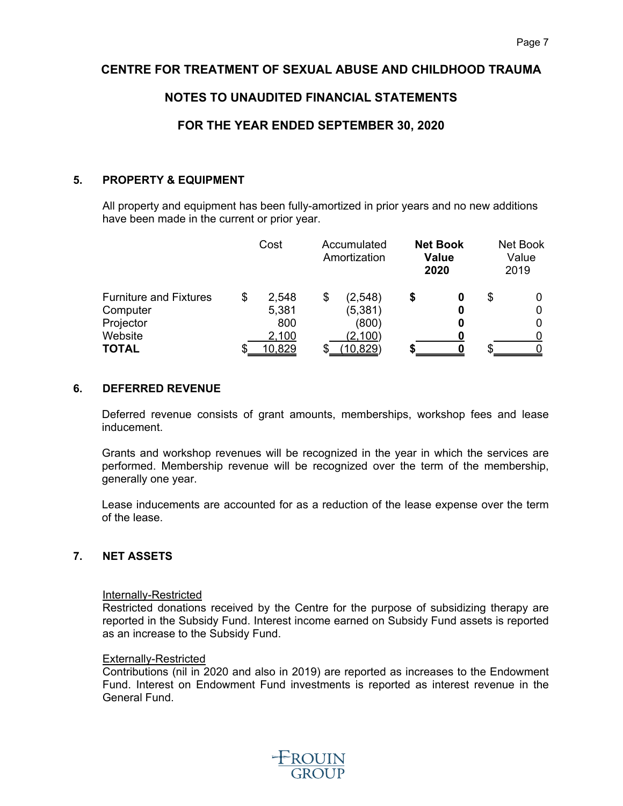# **NOTES TO UNAUDITED FINANCIAL STATEMENTS**

# **FOR THE YEAR ENDED SEPTEMBER 30, 2020**

# **5. PROPERTY & EQUIPMENT**

All property and equipment has been fully-amortized in prior years and no new additions have been made in the current or prior year.

| Cost        |                          |          |                                                    |        |                                         | Net Book<br>Value<br>2019 |
|-------------|--------------------------|----------|----------------------------------------------------|--------|-----------------------------------------|---------------------------|
| \$<br>2,548 | \$                       | (2, 548) | S                                                  | 0<br>0 | S                                       | 0                         |
| 800         |                          | (800)    |                                                    |        |                                         | 0                         |
|             |                          |          |                                                    |        |                                         |                           |
|             | 5,381<br>2,100<br>10,829 |          | Accumulated<br>Amortization<br>(5, 381)<br>(2,100) |        | <b>Net Book</b><br><b>Value</b><br>2020 | 10,829                    |

# **6. DEFERRED REVENUE**

Deferred revenue consists of grant amounts, memberships, workshop fees and lease inducement.

Grants and workshop revenues will be recognized in the year in which the services are performed. Membership revenue will be recognized over the term of the membership, generally one year.

Lease inducements are accounted for as a reduction of the lease expense over the term of the lease.

# **7. NET ASSETS**

#### Internally-Restricted

Restricted donations received by the Centre for the purpose of subsidizing therapy are reported in the Subsidy Fund. Interest income earned on Subsidy Fund assets is reported as an increase to the Subsidy Fund.

#### Externally-Restricted

Contributions (nil in 2020 and also in 2019) are reported as increases to the Endowment Fund. Interest on Endowment Fund investments is reported as interest revenue in the General Fund.

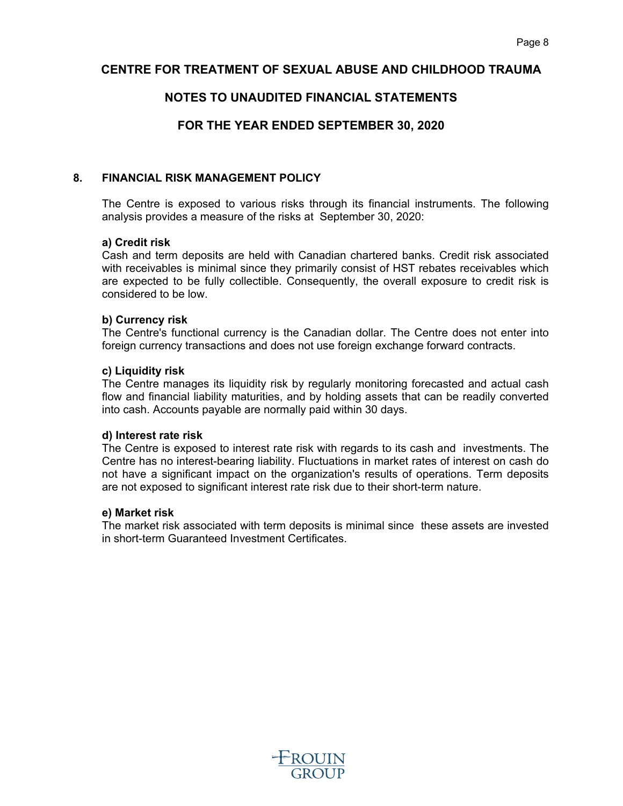# **NOTES TO UNAUDITED FINANCIAL STATEMENTS**

# **FOR THE YEAR ENDED SEPTEMBER 30, 2020**

### **8. FINANCIAL RISK MANAGEMENT POLICY**

The Centre is exposed to various risks through its financial instruments. The following analysis provides a measure of the risks at September 30, 2020:

#### **a) Credit risk**

Cash and term deposits are held with Canadian chartered banks. Credit risk associated with receivables is minimal since they primarily consist of HST rebates receivables which are expected to be fully collectible. Consequently, the overall exposure to credit risk is considered to be low.

#### **b) Currency risk**

The Centre's functional currency is the Canadian dollar. The Centre does not enter into foreign currency transactions and does not use foreign exchange forward contracts.

#### **c) Liquidity risk**

The Centre manages its liquidity risk by regularly monitoring forecasted and actual cash flow and financial liability maturities, and by holding assets that can be readily converted into cash. Accounts payable are normally paid within 30 days.

#### **d) Interest rate risk**

The Centre is exposed to interest rate risk with regards to its cash and investments. The Centre has no interest-bearing liability. Fluctuations in market rates of interest on cash do not have a significant impact on the organization's results of operations. Term deposits are not exposed to significant interest rate risk due to their short-term nature.

#### **e) Market risk**

The market risk associated with term deposits is minimal since these assets are invested in short-term Guaranteed Investment Certificates.

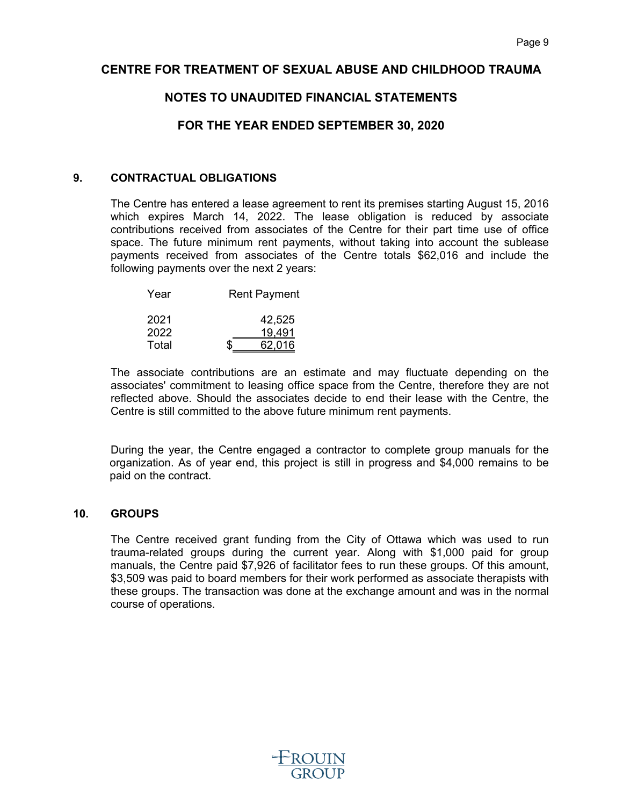# **NOTES TO UNAUDITED FINANCIAL STATEMENTS**

# **FOR THE YEAR ENDED SEPTEMBER 30, 2020**

#### **9. CONTRACTUAL OBLIGATIONS**

The Centre has entered a lease agreement to rent its premises starting August 15, 2016 which expires March 14, 2022. The lease obligation is reduced by associate contributions received from associates of the Centre for their part time use of office space. The future minimum rent payments, without taking into account the sublease payments received from associates of the Centre totals \$62,016 and include the following payments over the next 2 years:

| Year         | <b>Rent Payment</b> |
|--------------|---------------------|
| 2021<br>2022 | 42,525<br>19,491    |
| Total        | 62,016              |

The associate contributions are an estimate and may fluctuate depending on the associates' commitment to leasing office space from the Centre, therefore they are not reflected above. Should the associates decide to end their lease with the Centre, the Centre is still committed to the above future minimum rent payments.

During the year, the Centre engaged a contractor to complete group manuals for the organization. As of year end, this project is still in progress and \$4,000 remains to be paid on the contract.

# **10. GROUPS**

The Centre received grant funding from the City of Ottawa which was used to run trauma-related groups during the current year. Along with \$1,000 paid for group manuals, the Centre paid \$7,926 of facilitator fees to run these groups. Of this amount, \$3,509 was paid to board members for their work performed as associate therapists with these groups. The transaction was done at the exchange amount and was in the normal course of operations.